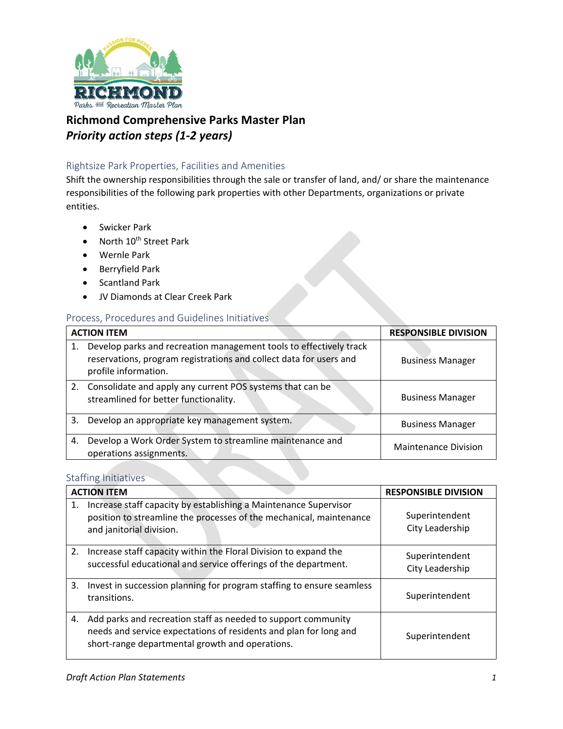

## **Richmond Comprehensive Parks Master Plan**  *Priority action steps (1-2 years)*

### Rightsize Park Properties, Facilities and Amenities

Shift the ownership responsibilities through the sale or transfer of land, and/ or share the maintenance responsibilities of the following park properties with other Departments, organizations or private entities.

- **•** Swicker Park
- North  $10^{th}$  Street Park
- Wernle Park
- Berryfield Park
- Scantland Park
- JV Diamonds at Clear Creek Park

#### Process, Procedures and Guidelines Initiatives

| <b>ACTION ITEM</b> |                                                                                                                                                                  | <b>RESPONSIBLE DIVISION</b> |
|--------------------|------------------------------------------------------------------------------------------------------------------------------------------------------------------|-----------------------------|
|                    | Develop parks and recreation management tools to effectively track<br>reservations, program registrations and collect data for users and<br>profile information. | <b>Business Manager</b>     |
|                    | 2. Consolidate and apply any current POS systems that can be<br>streamlined for better functionality.                                                            | <b>Business Manager</b>     |
| 3.                 | Develop an appropriate key management system.                                                                                                                    | <b>Business Manager</b>     |
| 4.                 | Develop a Work Order System to streamline maintenance and<br>operations assignments.                                                                             | <b>Maintenance Division</b> |

### Staffing Initiatives

|    | <b>ACTION ITEM</b>                                                                                                                                                                    | <b>RESPONSIBLE DIVISION</b>       |
|----|---------------------------------------------------------------------------------------------------------------------------------------------------------------------------------------|-----------------------------------|
| 1. | Increase staff capacity by establishing a Maintenance Supervisor<br>position to streamline the processes of the mechanical, maintenance<br>and janitorial division.                   | Superintendent<br>City Leadership |
| 2. | Increase staff capacity within the Floral Division to expand the<br>successful educational and service offerings of the department.                                                   | Superintendent<br>City Leadership |
| 3. | Invest in succession planning for program staffing to ensure seamless<br>transitions.                                                                                                 | Superintendent                    |
| 4. | Add parks and recreation staff as needed to support community<br>needs and service expectations of residents and plan for long and<br>short-range departmental growth and operations. | Superintendent                    |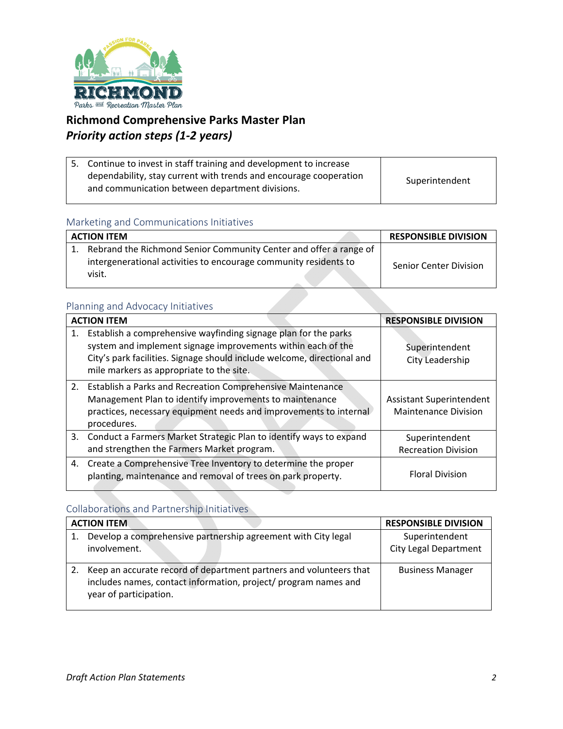

# **Richmond Comprehensive Parks Master Plan**  *Priority action steps (1-2 years)*

| 5. Continue to invest in staff training and development to increase                                                  |                |
|----------------------------------------------------------------------------------------------------------------------|----------------|
| dependability, stay current with trends and encourage cooperation<br>and communication between department divisions. | Superintendent |

#### Marketing and Communications Initiatives

| <b>ACTION ITEM</b>                                                                                                                              | <b>RESPONSIBLE DIVISION</b>   |
|-------------------------------------------------------------------------------------------------------------------------------------------------|-------------------------------|
| Rebrand the Richmond Senior Community Center and offer a range of<br>intergenerational activities to encourage community residents to<br>visit. | <b>Senior Center Division</b> |

### Planning and Advocacy Initiatives

|    | <b>ACTION ITEM</b>                                                                                                                                                                                                                                     | <b>RESPONSIBLE DIVISION</b>                                    |
|----|--------------------------------------------------------------------------------------------------------------------------------------------------------------------------------------------------------------------------------------------------------|----------------------------------------------------------------|
| 1. | Establish a comprehensive wayfinding signage plan for the parks<br>system and implement signage improvements within each of the<br>City's park facilities. Signage should include welcome, directional and<br>mile markers as appropriate to the site. | Superintendent<br>City Leadership                              |
|    | 2. Establish a Parks and Recreation Comprehensive Maintenance<br>Management Plan to identify improvements to maintenance<br>practices, necessary equipment needs and improvements to internal<br>procedures.                                           | <b>Assistant Superintendent</b><br><b>Maintenance Division</b> |
|    | 3. Conduct a Farmers Market Strategic Plan to identify ways to expand<br>and strengthen the Farmers Market program.                                                                                                                                    | Superintendent<br><b>Recreation Division</b>                   |
|    | 4. Create a Comprehensive Tree Inventory to determine the proper<br>planting, maintenance and removal of trees on park property.                                                                                                                       | <b>Floral Division</b>                                         |

### Collaborations and Partnership Initiatives

|    | <b>ACTION ITEM</b>                                                                                                                                              | <b>RESPONSIBLE DIVISION</b>                    |
|----|-----------------------------------------------------------------------------------------------------------------------------------------------------------------|------------------------------------------------|
|    | Develop a comprehensive partnership agreement with City legal<br>involvement.                                                                                   | Superintendent<br><b>City Legal Department</b> |
| 2. | Keep an accurate record of department partners and volunteers that<br>includes names, contact information, project/ program names and<br>year of participation. | <b>Business Manager</b>                        |